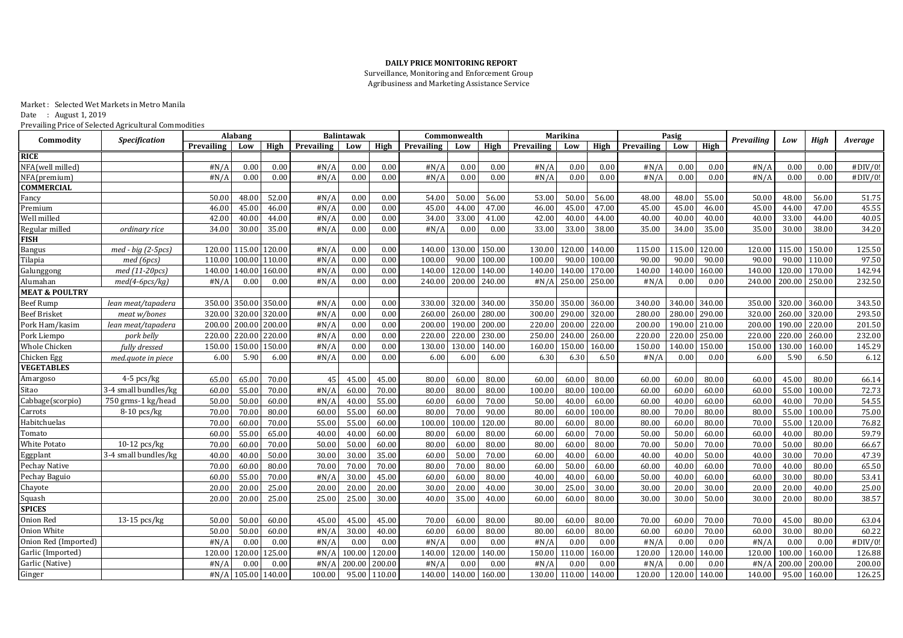## **DAILY PRICE MONITORING REPORT**

Surveillance, Monitoring and Enforcement Group Agribusiness and Marketing Assistance Service

Market : Selected Wet Markets in Metro Manila Date : August 1, 2019 Prevailing Price of Selected Agricultural Commodities

| <b>Specification</b><br>Commodity<br><b>Prevailing</b><br>High<br>Low<br>High<br>High<br>Prevailing<br>High<br>Prevailing<br>High<br>Prevailing<br>Low<br>High<br>Prevailing<br>Low<br>Prevailing<br>Low<br>Low<br>Low<br><b>RICE</b> | Average |
|---------------------------------------------------------------------------------------------------------------------------------------------------------------------------------------------------------------------------------------|---------|
|                                                                                                                                                                                                                                       |         |
|                                                                                                                                                                                                                                       |         |
| NFA(well milled)<br>#N/A<br>0.00<br>#N/A<br>0.00<br>0.00<br>#N/A<br>0.00<br>#N/A<br>#N/A<br>0.00<br>0.00<br>0.00<br>0.00<br>0.00<br>0.00<br>#N/A<br>0.00<br>0.00                                                                      | #DIV/0! |
| 0.00<br>#N/A<br>0.00<br>#N/A<br>0.00<br>0.00<br>0.00<br>0.00<br>#N/A<br>0.00<br>#N/A<br>0.00<br>0.00<br>#N/A<br>0.00<br>#N/A<br>0.00<br>0.00<br>NFA(premium)                                                                          | #DIV/0! |
| <b>COMMERCIAL</b>                                                                                                                                                                                                                     |         |
| 50.00<br>50.00<br>48.00<br>52.00<br>#N/A<br>0.00<br>0.00<br>54.00<br>56.00<br>53.00<br>50.00<br>56.00<br>48.00<br>48.00<br>55.00<br>50.00<br>48.00<br>56.00<br>Fancy                                                                  | 51.75   |
| 45.00<br>0.00<br>0.00<br>45.00<br>44.00<br>45.00<br>47.00<br>45.00<br>46.00<br>45.00<br>44.00<br>47.00<br>46.00<br>46.00<br>#N/A<br>47.00<br>46.00<br>45.00<br>Premium                                                                | 45.55   |
| Well milled<br>42.00<br>40.00<br>44.00<br>0.00<br>0.00<br>34.00<br>33.00<br>41.00<br>42.00<br>40.00<br>44.00<br>40.00<br>40.00<br>33.00<br>44.00<br>#N/A<br>40.00<br>40.00                                                            | 40.05   |
| 34.00<br>30.00<br>35.00<br>#N/A<br>0.00<br>0.00<br>#N/A<br>0.00<br>33.00<br>33.00<br>38.00<br>35.00<br>34.00<br>35.00<br>35.00<br>30.00<br>38.00<br>Regular milled<br>ordinary rice<br>0.00                                           | 34.20   |
| <b>FISH</b>                                                                                                                                                                                                                           |         |
| 115.00<br>130.00<br>120.00<br>115.00<br>120.00<br>#N/A<br>0.00<br>0.00<br>140.00<br>150.00<br>130.00<br>140.00<br>115.00<br>115.00<br>120.00<br>120.00<br>150.00<br>$med$ - big (2-5pcs)<br>120.00<br>Bangus                          | 125.50  |
| 90.00<br>90.00<br>90.0<br>110.00<br>Tilapia<br>110.00<br>100.00<br>110.00<br>#N/A<br>0.00<br>0.00<br>100.00<br>100.00<br>100.00<br>90.00<br>100.00<br>90.00<br>90.00<br>90.00<br>med (6pcs)                                           | 97.50   |
| 140.00<br>120.0<br>140.00<br>140.00<br>#N/A<br>0.00<br>120.00<br>140.00<br>170.00<br>140.00<br>160.00<br>170.00<br>med (11-20pcs)<br>160.00<br>0.00<br>140.00<br>140.00<br>140.00<br>140.00<br>Galunggong                             | 142.94  |
| #N/A<br>0.00<br>200.00 240.00<br>$250.00$ $250.00$<br>200.00<br>250.00<br>med(4-6pcs/kg)<br>0.00<br>0.00<br>#N/A<br>0.00<br>240.00<br>#N/A<br>#N/A<br>0.00<br>0.00<br>240.00<br>Alumahan                                              | 232.50  |
| <b>MEAT &amp; POULTRY</b>                                                                                                                                                                                                             |         |
| 350.00<br>350.00<br>320.00<br>340.00<br>350.00<br>360.00<br>340.00<br>340.00<br>320.0<br>360.00<br>350.00<br>#N/A<br>0.00<br>0.00<br>330.00<br>350.00<br>340.00<br>350.00<br>Beef Rump<br>lean meat/tapadera                          | 343.50  |
| 290.00<br>320.00<br>320.00 320.00<br>#N/A<br>260.00<br>280.00<br>320.00<br>280.00<br>290.00<br>320.00<br>260.0<br>320.00<br><b>Beef Brisket</b><br>0.00<br>0.00<br>260.00<br>300.00<br>280.00<br>meat w/bones                         | 293.50  |
| 200.00<br>200.00 200.00<br>220.00<br>190.00<br>210.00<br>190.0<br>220.00<br>200.00<br>#N/A<br>0.00<br>0.00<br>200.00<br>190.00<br>200.00<br>220.00<br>200.00<br>200.00<br>Pork Ham/kasim<br>lean meat/tapadera                        | 201.50  |
| 220.00<br>240.00<br>260.00<br>250.00<br>220.0<br>260.00<br>220.00<br>220.00 220.00<br>0.00<br>0.00<br>230.00<br>250.00<br>220.00<br>220.00<br>220.00<br>Pork Liempo<br>pork belly<br>#N/A<br>220.00                                   | 232.00  |
| 150.00<br>130.00<br>Whole Chicken<br>fully dressed<br>150.00<br>150.00<br>#N/A<br>0.00<br>0.00<br>130.00<br>130.00<br>140.00<br>160.00<br>150.00<br>160.00<br>150.00<br>140.00<br>150.00<br>150.00<br>160.00                          | 145.29  |
| #N/A<br>0.00<br>0.00<br>6.00<br>6.00<br>6.00<br>6.30<br>6.30<br>6.50<br>#N/A<br>0.00<br>0.00<br>5.90<br>6.50<br>Chicken Egg<br>6.00<br>5.90<br>6.00<br>6.00<br>med.quote in piece                                                     | 6.12    |
| <b>VEGETABLES</b>                                                                                                                                                                                                                     |         |
| $4-5$ pcs/kg<br>60.00<br>65.00<br>65.00<br>70.00<br>45.00<br>80.00<br>80.00<br>60.00<br>60.00<br>80.00<br>60.00<br>80.00<br>60.00<br>45.00<br>80.00<br>Amargoso<br>45<br>45.00<br>60.00                                               | 66.14   |
| 3-4 small bundles/kg<br>55.00<br>70.00<br>55.00<br>Sitao<br>70.00<br>#N/A<br>60.00<br>80.00<br>80.00<br>80.00<br>100.00<br>80.00<br>100.00<br>60.00<br>60.00<br>100.00<br>60.00<br>60.00<br>60.00                                     | 72.73   |
| 750 grms-1 kg/head<br>55.00<br>Cabbage(scorpio)<br>50.00<br>60.00<br>40.00<br>60.00<br>40.00<br>50.00<br>60.00<br>#N/A<br>40.00<br>60.00<br>70.00<br>50.00<br>60.00<br>40.00<br>60.00<br>60.00<br>70.00                               | 54.55   |
| 70.00<br>60.00<br>70.00<br>55.00<br>$8-10$ pcs/kg<br>80.00<br>55.00<br>80.00<br>90.00<br>80.00<br>60.00<br>100.00<br>70.00<br>80.00<br>100.00<br>Carrots<br>70.00<br>60.00<br>80.00<br>80.00                                          | 75.00   |
| Habitchuelas<br>100.00<br>55.00<br>70.00<br>60.00<br>70.00<br>55.00<br>55.00<br>60.00<br>100.00<br>120.00<br>80.00<br>60.00<br>80.00<br>80.00<br>60.00<br>80.00<br>70.00<br>120.00                                                    | 76.82   |
| 55.00<br>60.00<br>65.00<br>40.00<br>60.00<br>80.00<br>60.00<br>80.00<br>60.00<br>60.00<br>70.00<br>50.00<br>60.00<br>60.00<br>40.00<br>80.00<br>Tomato<br>40.00<br>50.00                                                              | 59.79   |
| <b>White Potato</b><br>$10-12$ pcs/kg<br>60.00<br>50.00<br>60.00<br>60.00<br>60.00<br>80.00<br>50.00<br>70.00<br>70.00<br>80.00<br>80.00<br>80.00<br>50.00<br>70.00<br>70.00<br>80.00<br>50.00<br>70.00                               | 66.67   |
| 3-4 small bundles/kg<br>35.00<br>Eggplant<br>40.00<br>50.00<br>30.00<br>60.00<br>50.00<br>40.00<br>60.00<br>30.00<br>40.00<br>30.00<br>70.00<br>60.00<br>40.00<br>40.00<br>50.00<br>40.00<br>70.00                                    | 47.39   |
| Pechay Native<br>60.00<br>70.00<br>70.00<br>70.00<br>70.00<br>80.00<br>70.00<br>80.00<br>80.00<br>60.00<br>50.00<br>60.00<br>60.00<br>40.00<br>60.00<br>70.00<br>40.00<br>80.00                                                       | 65.50   |
| Pechay Baguio<br>55.00<br>60.00<br>60.00<br>70.00<br>#N/A<br>30.00<br>45.00<br>60.00<br>80.00<br>40.00<br>40.00<br>60.00<br>50.00<br>40.00<br>60.00<br>60.00<br>30.00<br>80.00                                                        | 53.41   |
| Chayote<br>20.00<br>20.00<br>20.00<br>25.00<br>30.00<br>20.00<br>20.00<br>25.00<br>20.00<br>20.00<br>30.00<br>30.00<br>30.00<br>20.00<br>30.00<br>20.00<br>40.00<br>40.00                                                             | 25.00   |
| Squash<br>20.00<br>25.00<br>30.00<br>40.00<br>35.00<br>60.00<br>80.00<br>30.00<br>20.00<br>80.00<br>20.00<br>25.00<br>25.00<br>40.00<br>60.00<br>30.00<br>50.00<br>30.00                                                              | 38.57   |
| <b>SPICES</b>                                                                                                                                                                                                                         |         |
| Onion Red<br>13-15 pcs/kg<br>50.00<br>60.00<br>45.00<br>45.00<br>45.00<br>70.00<br>60.00<br>80.00<br>60.00<br>80.00<br>60.00<br>70.00<br>70.00<br>45.00<br>50.00<br>80.00<br>70.00<br>80.00                                           | 63.04   |
| <b>Onion White</b><br>30.00<br>60.00<br>80.00<br>50.00<br>50.00<br>60.00<br>#N/A<br>40.00<br>60.00<br>80.00<br>80.00<br>60.00<br>60.00<br>60.00<br>70.00<br>60.00<br>30.00<br>80.00                                                   | 60.22   |
| Onion Red (Imported)<br>#N/A<br>0.00<br>0.00<br>#N/A<br>0.00<br>0.00<br>#N/A<br>0.00<br>0.00<br>#N/A<br>0.00<br>0.00<br>#N/A<br>0.00<br>0.00<br>0.00<br>0.00<br>#N/A                                                                  | #DIV/0! |
| Garlic (Imported)<br>120.00<br>120.00<br>100.00<br>120.00<br>120.00<br>125.00<br>100.00<br>140.00<br>150.00<br>110.00<br>160.00<br>120.00<br>120.00<br>140.00<br>120.00<br>160.00<br>#N/A<br>140.00                                   | 126.88  |
| Garlic (Native)<br>200.00<br>#N/A<br>0.00<br>0.00<br>200.00<br>200.00<br>#N/A<br>0.00<br>0.00<br>#N/A<br>200.00<br>0.00<br>#N/A<br>0.00<br>0.00<br>#N/A<br>0.00<br>#N/A                                                               | 200.00  |
| Ginger<br>$\#N/A$ 105.00 140.00<br>140.00 140.00<br>120.00<br>95.00<br>160.00<br>100.00<br>95.00<br>110.00<br>130.00 110.00<br>140.00<br>120.00<br>140.00<br>140.00<br>160.00                                                         | 126.25  |